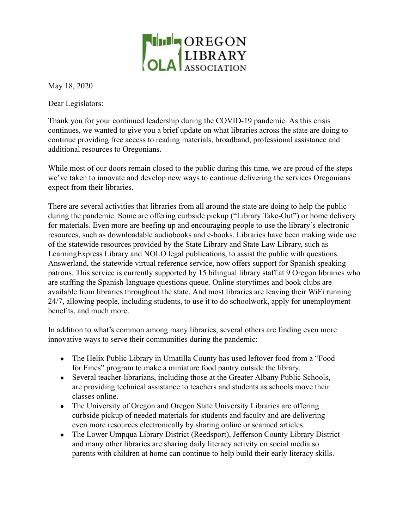

May 18, 2020

Dear Legislators:

Thank you for your continued leadership during the COVID-19 pandemic. As this crisis continues, we wanted to give you a brief update on what libraries across the state are doing to continue providing free access to reading materials, broadband, professional assistance and additional resources to Oregonians.

While most of our doors remain closed to the public during this time, we are proud of the steps we've taken to innovate and develop new ways to continue delivering the services Oregonians expect from their libraries.

There are several activities that libraries from all around the state are doing to help the public during the pandemic. Some are offering curbside pickup ("Library Take-Out") or home delivery for materials. Even more are beefing up and encouraging people to use the library's electronic resources, such as downloadable audiobooks and e-books. Libraries have been making wide use of the statewide resources provided by the State Library and State Law Library, such as LearningExpress Library and NOLO legal publications, to assist the public with questions. Answerland, the statewide virtual reference service, now offers support for Spanish speaking patrons. This service is currently supported by 15 bilingual library staff at 9 Oregon libraries who are staffing the Spanish-language questions queue. Online storytimes and book clubs are available from libraries throughout the state. And most libraries are leaving their WiFi running 24/7, allowing people, including students, to use it to do schoolwork, apply for unemployment benefits, and much more.

In addition to what's common among many libraries, several others are finding even more innovative ways to serve their communities during the pandemic:

- The Helix Public Library in Umatilla County has used leftover food from a "Food" for Fines" program to make a miniature food pantry outside the library.
- Several teacher-librarians, including those at the Greater Albany Public Schools, are providing technical assistance to teachers and students as schools move their classes online.
- The University of Oregon and Oregon State University Libraries are offering curbside pickup of needed materials for students and faculty and are delivering even more resources electronically by sharing online or scanned articles.
- The Lower Umpqua Library District (Reedsport), Jefferson County Library District and many other libraries are sharing daily literacy activity on social media so parents with children at home can continue to help build their early literacy skills.